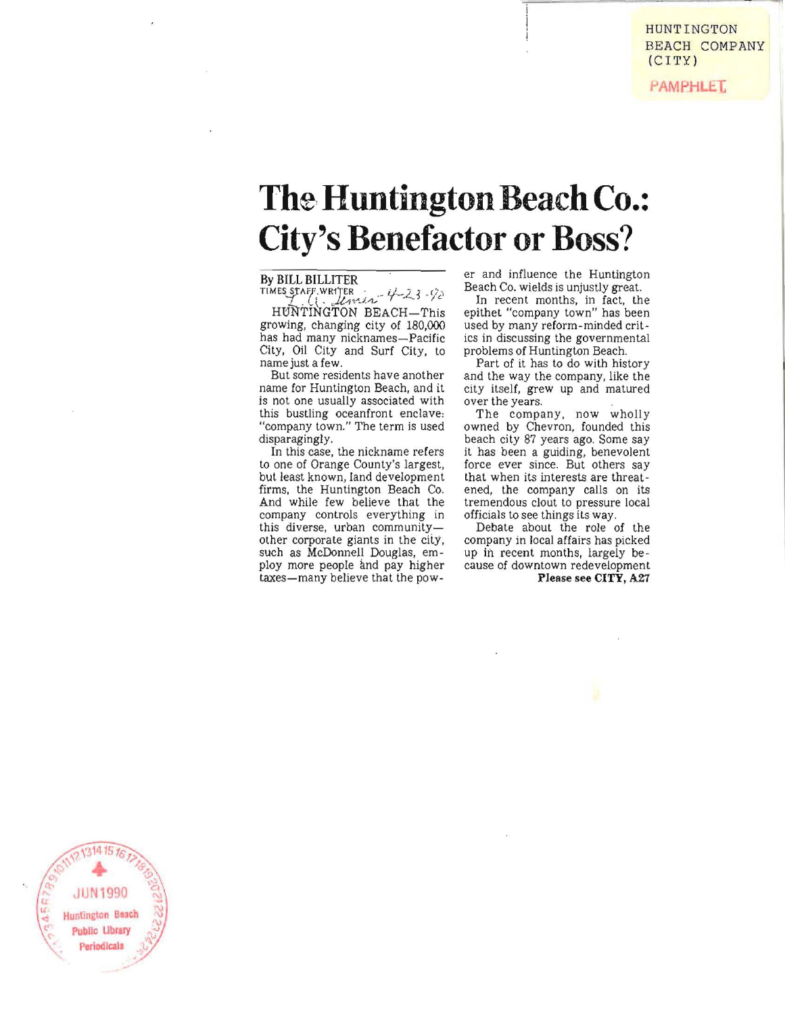**PAMPHLET** 

## **The Huntington Beach Co.: City's Benefactor or Boss?**

#### **By BILL BILLITER**

 $T$ **IMES STAFF, WR1'TER ...**  $4-23$  $-92$ 

HtiNTINGTON BEACH-This growing, changing city of 180,000 has had many nicknames-Pacific City, Oil City and Surf City, to **name just a few.** 

**But some residents have another**  name for Huntington Beach, and it is not one usually associated with this bustling oceanfront enclave. "company town." The term is used disparagingly.

**In this case, the nickname refers**  to one of Orange County's largest, but least known, land development firms, the Huntington Beach Co. And while few believe that the company controls everything in **this diverse, urban community**other corporate giants in the city, such as McDonnell Douglas, employ more people and pay higher taxes-many believe that the power and influence the Huntington Beach Co. wields is unjustly great.

In recent months, in fact, the epithet "company town" has been used by many reform-minded crit**ics in discussing the governmental**  problems of Huntington Beach.

Part of it has to do with history and the way the company, like the city itself, grew up and matured **over the years.** 

The company, now wholly owned by Chevron, founded this beach city 87 years ago. Some say it has been a guiding, benevolent **force ever since. But others say**  that when its interests are threatened, the company calls on its tremendous clout to pressure local<br>officials to see things its way.

Debate about the role of the company in local affairs has picked up in recent months, largely be**cause of downtown redevelopment Please see CITY, A21** 

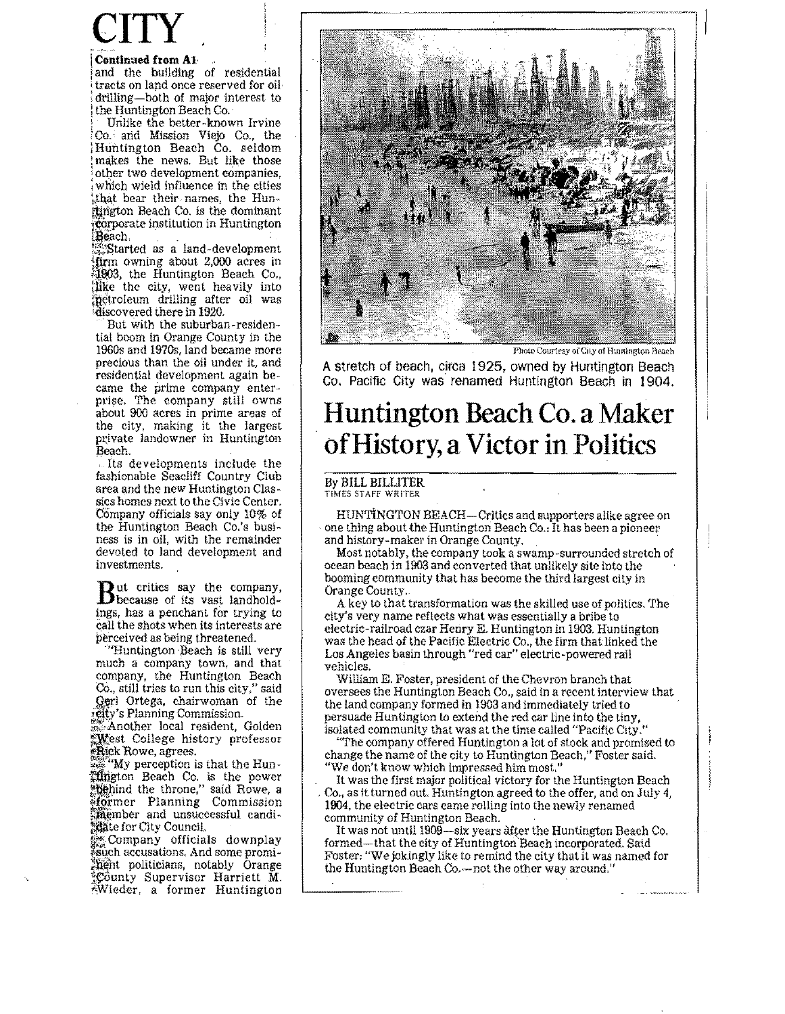# **CITY**

#### I **Continued from** Al·.

'and the building of residential tracts on land once reserved for oil-: drilling-both of major interest to the Huntington Beach Co.

Unlike the better-known Irvine Co. and Mission Viejo Co., the ! Huntington Beach Co. seldom : makes the *news.* But like those : other two development companies, : which wield influence in the cities  $\frac{1}{n}$ , that bear their names, the Hunitington Beach Co. is the dominant  $\ddot{\phi}$ orporate institution in Huntington

 $\mathbb{R}$ each.<br> $\mathbb{R}$ Started as a land-development.  $\frac{1}{2}$  firm owning about 2,000 acres in  $\frac{1}{2}$  and  $\frac{1}{2}$  . dike the city, went heavily into ;petroleum drilling after oil was 'discovered there in 1920.

But with the suburban-residential boom in Orange County in the 1960s and 1970s, land became more precious than the oil under it, and residential development again became the prime company enterprise. The company still owns about 900 aeres in prime areas of the city, making it the largest private landowner in Huntington Beach.

. Its developments include the fashionable Seacliff Country Club area and the new Huntington Classics homes next to the Civic Center. Company officials say only 10% of the Huntington Beach Co.'s busi**ness is in oil, with the remainder**  devoted to land development and **investments.** 

But critics say the company,<br>because of its vast landholdings, has a penchant for trying to call the shots when its interests are perceived as being threatened.

"Huntington Beach is still very much a company town, and that company, the Huntington Beach Co., still tries to run this city," said Geri Ortega, chairwoman of the **neity's Planning Commission.** 

 $...$  Another local resident, Golden West College history professor \*Rick Rowe, agrees.

 $\mathbb{Z}_2$  "My perception is that the Hun-Jiflljgton Beach Co. is the power "behind the throne," said Rowe, a ~fo}mer Planning Commission ~mber **and unsuccessful candi** <sup>~</sup> tate for City Council.

Its Company officials downplay l!Such accusations. And some promi- ;hent politicians, notably Orange County Supervisor Harriett M. !,Wieder, a former Huntington



Photo Courtesy of City of Huntington Beach

A stretch of beach, circa 1925, owned by Huntington Beach Co. Pacific City was renamed Huntington Beach in 1904.

### **Huntington Beach Co. a Maker**  of History, **a Victor in Politics**

#### By BILL BILLITER

TIMES **STAFf** WRITER

HUNTINGTON BEACH-Critics and supporters alike agree on one thing about the Huntington Beach Co.: It has been a pioneer<br>and history-maker in Orange County.

Most notably, the company took a swamp-surrounded stretch of ocean beach in 1903 and converted that unlikely site into the booming community that has become the third largest city in Orange County.

A key to that transformation was the skilled use of politics. The city's very name reflects what was essentially a bribe to electric-railroad czar Henry E. Huntington in 1903, Huntington was the head of the Pacific Electric Co., the firm that linked the Los Angeles basin through "red car" electric-powered rail vehicles.

William E. Foster, president of the Chevron branch that OVersees the Huntington Beach Co., said in a recent interview that the land company formed in 1903 and immediately tried to persuade Huntington to extend the red car line into the tiny, isolated community that was at the time called "Pacific City."

"The company offered Huntington a lot of stock and promised to change the name of the city to Huntington Beach," Foster said.<br>"We don't know which impressed him most."

It was the first major political victory for the Huntington Beach Co., as it turned out. Huntington agreed to the offer, and on July 4, 1904, the electric cars came roIling into the newly renamed community of Huntington Beach.

It was not until 1909—six years after the Huntington Beach Co. formed—that the city of Huntington Beach incorporated. Said Foster: "We jokingly like to remind the city that it was named for the Huntington Beach Co.-not the other way around."